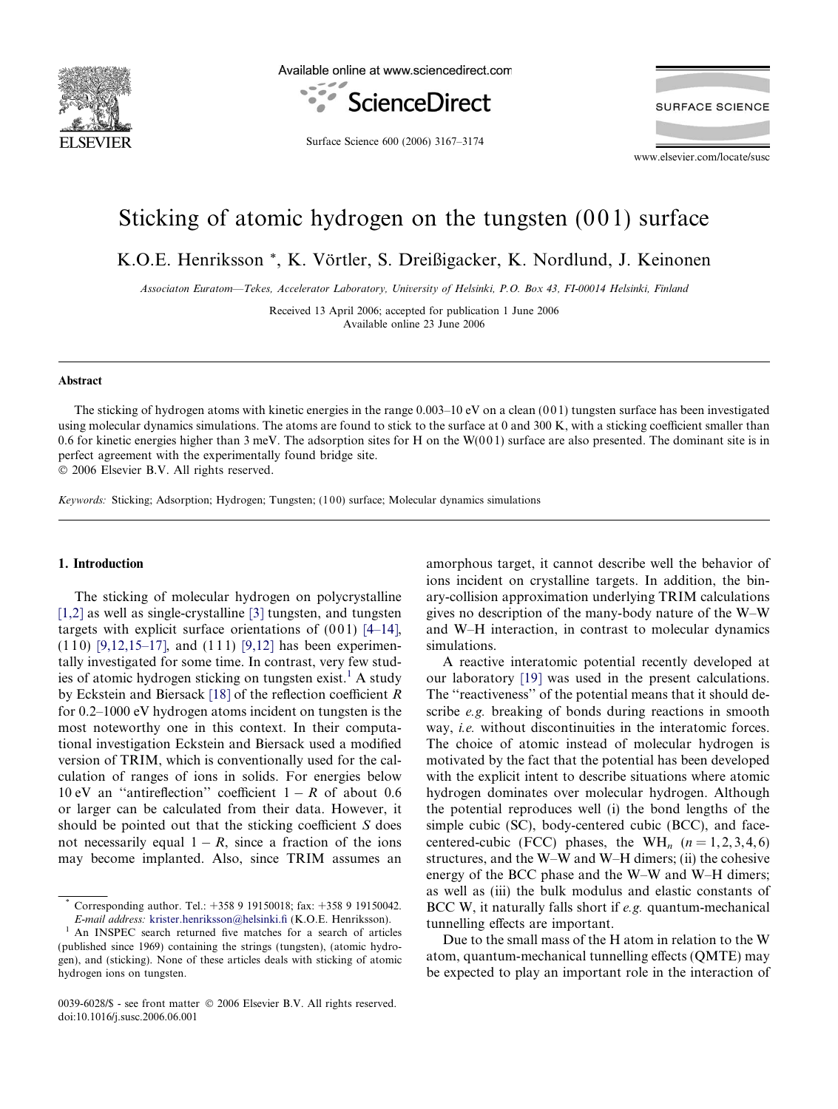<span id="page-0-0"></span>

Available online at www.sciencedirect.com



**SURFACE SCIENCE** 

Surface Science 600 (2006) 3167–3174

www.elsevier.com/locate/susc

# Sticking of atomic hydrogen on the tungsten  $(001)$  surface

K.O.E. Henriksson \*, K. Vörtler, S. Dreißigacker, K. Nordlund, J. Keinonen

Associaton Euratom—Tekes, Accelerator Laboratory, University of Helsinki, P.O. Box 43, FI-00014 Helsinki, Finland

Received 13 April 2006; accepted for publication 1 June 2006 Available online 23 June 2006

## Abstract

The sticking of hydrogen atoms with kinetic energies in the range  $0.003-10$  eV on a clean  $(001)$  tungsten surface has been investigated using molecular dynamics simulations. The atoms are found to stick to the surface at 0 and 300 K, with a sticking coefficient smaller than 0.6 for kinetic energies higher than 3 meV. The adsorption sites for H on the  $W(001)$  surface are also presented. The dominant site is in perfect agreement with the experimentally found bridge site.

© 2006 Elsevier B.V. All rights reserved.

Keywords: Sticking; Adsorption; Hydrogen; Tungsten; (100) surface; Molecular dynamics simulations

### 1. Introduction

The sticking of molecular hydrogen on polycrystalline [\[1,2\]](#page-6-0) as well as single-crystalline [\[3\]](#page-6-0) tungsten, and tungsten targets with explicit surface orientations of  $(001)$  [\[4–14\],](#page-6-0)  $(1 1 0)$  [\[9,12,15–17\]](#page-6-0), and  $(1 1 1)$  [\[9,12\]](#page-6-0) has been experimentally investigated for some time. In contrast, very few studies of atomic hydrogen sticking on tungsten exist.<sup>1</sup> A study by Eckstein and Biersack [\[18\]](#page-6-0) of the reflection coefficient R for 0.2–1000 eV hydrogen atoms incident on tungsten is the most noteworthy one in this context. In their computational investigation Eckstein and Biersack used a modified version of TRIM, which is conventionally used for the calculation of ranges of ions in solids. For energies below 10 eV an "antireflection" coefficient  $1 - R$  of about 0.6 or larger can be calculated from their data. However, it should be pointed out that the sticking coefficient S does not necessarily equal  $1 - R$ , since a fraction of the ions may become implanted. Also, since TRIM assumes an amorphous target, it cannot describe well the behavior of ions incident on crystalline targets. In addition, the binary-collision approximation underlying TRIM calculations gives no description of the many-body nature of the W–W and W–H interaction, in contrast to molecular dynamics simulations.

A reactive interatomic potential recently developed at our laboratory [\[19\]](#page-6-0) was used in the present calculations. The "reactiveness" of the potential means that it should describe e.g. breaking of bonds during reactions in smooth way, *i.e.* without discontinuities in the interatomic forces. The choice of atomic instead of molecular hydrogen is motivated by the fact that the potential has been developed with the explicit intent to describe situations where atomic hydrogen dominates over molecular hydrogen. Although the potential reproduces well (i) the bond lengths of the simple cubic (SC), body-centered cubic (BCC), and facecentered-cubic (FCC) phases, the WH<sub>n</sub>  $(n = 1, 2, 3, 4, 6)$ structures, and the W–W and W–H dimers; (ii) the cohesive energy of the BCC phase and the W–W and W–H dimers; as well as (iii) the bulk modulus and elastic constants of BCC W, it naturally falls short if e.g. quantum-mechanical tunnelling effects are important.

Due to the small mass of the H atom in relation to the W atom, quantum-mechanical tunnelling effects (QMTE) may be expected to play an important role in the interaction of

Corresponding author. Tel.: +358 9 19150018; fax: +358 9 19150042.

E-mail address: [krister.henriksson@helsinki.fi](mailto:krister.henriksson@helsinki.fi) (K.O.E. Henriksson). <sup>1</sup> An INSPEC search returned five matches for a search of articles (published since 1969) containing the strings (tungsten), (atomic hydrogen), and (sticking). None of these articles deals with sticking of atomic hydrogen ions on tungsten.

<sup>0039-6028/\$ -</sup> see front matter © 2006 Elsevier B.V. All rights reserved. doi:10.1016/j.susc.2006.06.001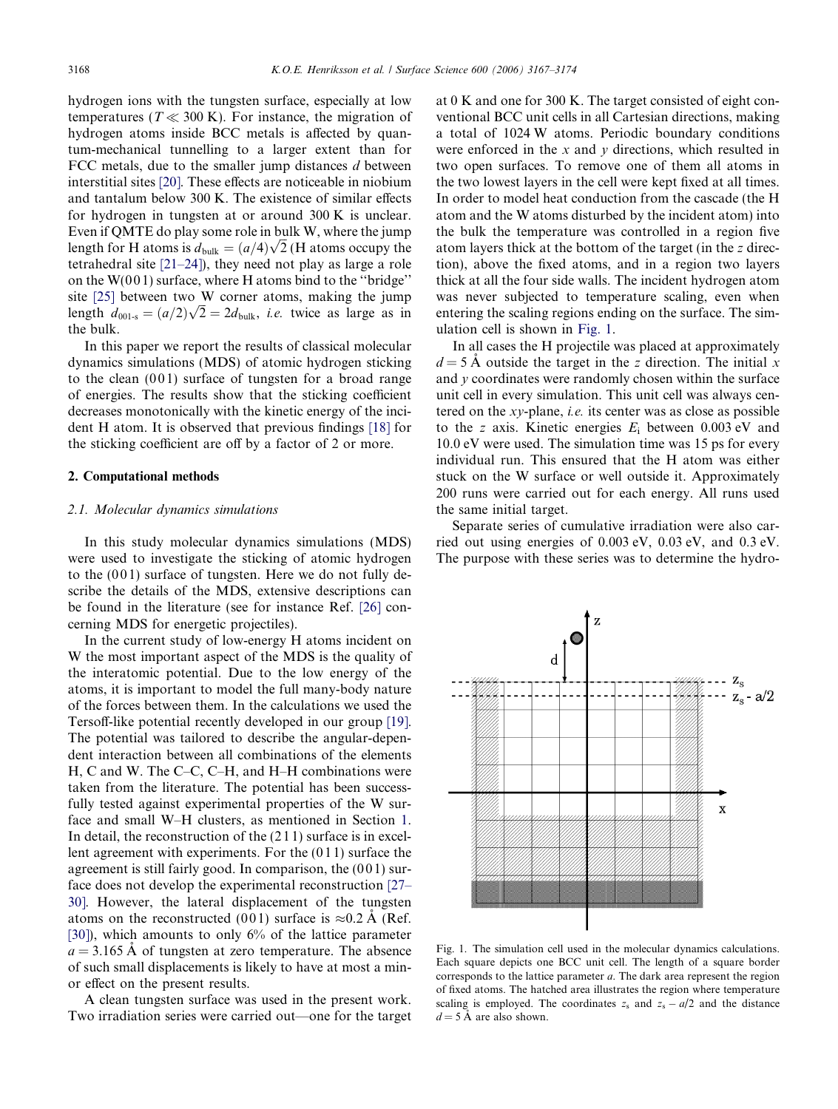hydrogen ions with the tungsten surface, especially at low temperatures ( $T \ll 300$  K). For instance, the migration of hydrogen atoms inside BCC metals is affected by quantum-mechanical tunnelling to a larger extent than for FCC metals, due to the smaller jump distances  $d$  between interstitial sites [\[20\].](#page-6-0) These effects are noticeable in niobium and tantalum below 300 K. The existence of similar effects for hydrogen in tungsten at or around 300 K is unclear. Even if QMTE do play some role in bulk W, where the jump Even if QM I E do play some role in bulk w, where the jump<br>length for H atoms is  $d_{\text{bulk}} = (a/4)\sqrt{2}$  (H atoms occupy the tetrahedral site [\[21–24\]\)](#page-6-0), they need not play as large a role on the  $W(001)$  surface, where H atoms bind to the "bridge" site [\[25\]](#page-6-0) between two W corner atoms, making the jump site [25] between two w corner atoms, making the jump<br>length  $d_{001-s} = (a/2)\sqrt{2} = 2d_{bulk}$ , *i.e.* twice as large as in the bulk.

In this paper we report the results of classical molecular dynamics simulations (MDS) of atomic hydrogen sticking to the clean  $(001)$  surface of tungsten for a broad range of energies. The results show that the sticking coefficient decreases monotonically with the kinetic energy of the incident H atom. It is observed that previous findings [\[18\]](#page-6-0) for the sticking coefficient are off by a factor of 2 or more.

## 2. Computational methods

## 2.1. Molecular dynamics simulations

In this study molecular dynamics simulations (MDS) were used to investigate the sticking of atomic hydrogen to the  $(001)$  surface of tungsten. Here we do not fully describe the details of the MDS, extensive descriptions can be found in the literature (see for instance Ref. [\[26\]](#page-7-0) concerning MDS for energetic projectiles).

In the current study of low-energy H atoms incident on W the most important aspect of the MDS is the quality of the interatomic potential. Due to the low energy of the atoms, it is important to model the full many-body nature of the forces between them. In the calculations we used the Tersoff-like potential recently developed in our group [\[19\]](#page-6-0). The potential was tailored to describe the angular-dependent interaction between all combinations of the elements H, C and W. The C–C, C–H, and H–H combinations were taken from the literature. The potential has been successfully tested against experimental properties of the W surface and small W–H clusters, as mentioned in Section [1](#page-0-0). In detail, the reconstruction of the (2 1 1) surface is in excellent agreement with experiments. For the (0 1 1) surface the agreement is still fairly good. In comparison, the  $(001)$  surface does not develop the experimental reconstruction [\[27–](#page-7-0) [30\]](#page-7-0). However, the lateral displacement of the tungsten atoms on the reconstructed (001) surface is  $\approx 0.2 \text{ Å}$  (Ref. [\[30\]](#page-7-0)), which amounts to only 6% of the lattice parameter  $a = 3.165$  Å of tungsten at zero temperature. The absence of such small displacements is likely to have at most a minor effect on the present results.

A clean tungsten surface was used in the present work. Two irradiation series were carried out—one for the target at 0 K and one for 300 K. The target consisted of eight conventional BCC unit cells in all Cartesian directions, making a total of 1024 W atoms. Periodic boundary conditions were enforced in the  $x$  and  $y$  directions, which resulted in two open surfaces. To remove one of them all atoms in the two lowest layers in the cell were kept fixed at all times. In order to model heat conduction from the cascade (the H atom and the W atoms disturbed by the incident atom) into the bulk the temperature was controlled in a region five atom layers thick at the bottom of the target (in the z direction), above the fixed atoms, and in a region two layers thick at all the four side walls. The incident hydrogen atom was never subjected to temperature scaling, even when entering the scaling regions ending on the surface. The simulation cell is shown in Fig. 1.

In all cases the H projectile was placed at approximately  $d = 5$  Å outside the target in the z direction. The initial x and y coordinates were randomly chosen within the surface unit cell in every simulation. This unit cell was always centered on the xy-plane, i.e. its center was as close as possible to the z axis. Kinetic energies  $E_i$  between 0.003 eV and 10.0 eV were used. The simulation time was 15 ps for every individual run. This ensured that the H atom was either stuck on the W surface or well outside it. Approximately 200 runs were carried out for each energy. All runs used the same initial target.

Separate series of cumulative irradiation were also carried out using energies of 0.003 eV, 0.03 eV, and 0.3 eV. The purpose with these series was to determine the hydro-



Fig. 1. The simulation cell used in the molecular dynamics calculations. Each square depicts one BCC unit cell. The length of a square border corresponds to the lattice parameter a. The dark area represent the region of fixed atoms. The hatched area illustrates the region where temperature scaling is employed. The coordinates  $z_s$  and  $z_s - a/2$  and the distance  $d = 5$  Å are also shown.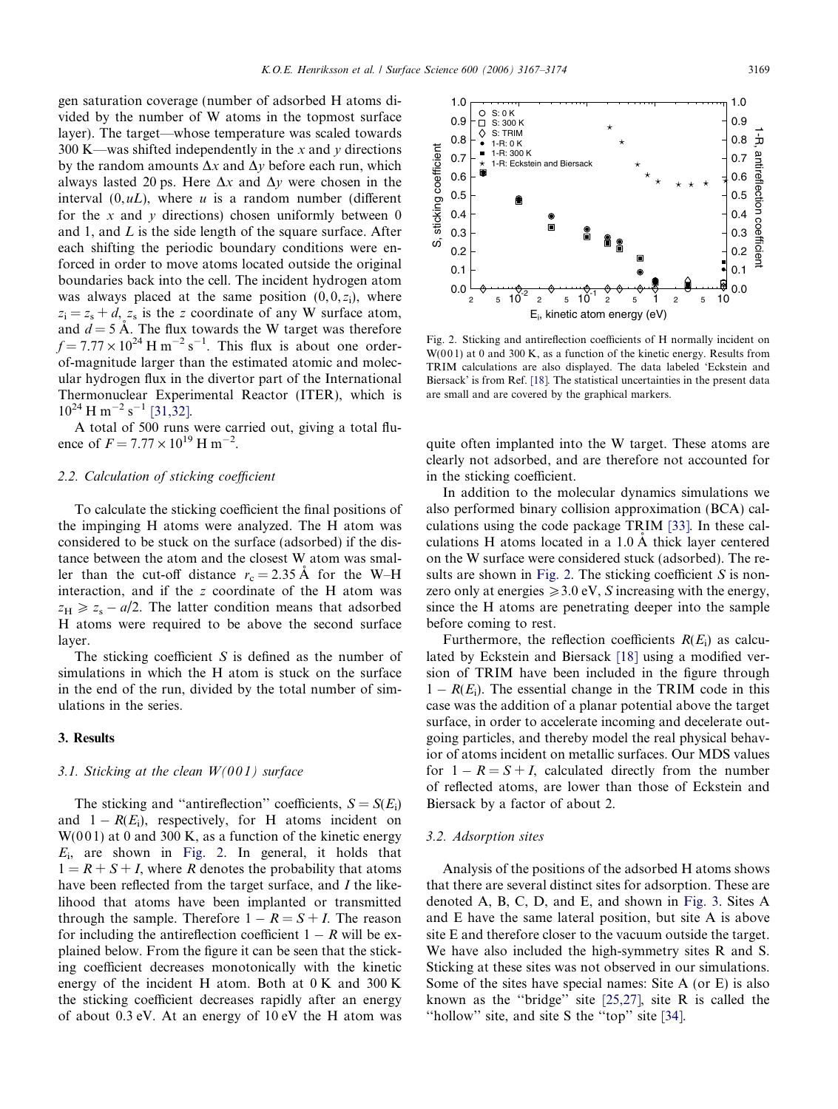1.0

S: 0 K

<span id="page-2-0"></span>gen saturation coverage (number of adsorbed H atoms divided by the number of W atoms in the topmost surface layer). The target—whose temperature was scaled towards 300 K—was shifted independently in the x and y directions by the random amounts  $\Delta x$  and  $\Delta y$  before each run, which always lasted 20 ps. Here  $\Delta x$  and  $\Delta y$  were chosen in the interval  $(0, uL)$ , where u is a random number (different for the x and y directions) chosen uniformly between  $0$ and 1, and  $L$  is the side length of the square surface. After each shifting the periodic boundary conditions were enforced in order to move atoms located outside the original boundaries back into the cell. The incident hydrogen atom was always placed at the same position  $(0, 0, z_i)$ , where  $z_i = z_s + d$ ,  $z_s$  is the z coordinate of any W surface atom, and  $d = 5$  Å. The flux towards the W target was therefore  $f = 7.77 \times 10^{24}$  H m<sup>-2</sup> s<sup>-1</sup>. This flux is about one orderof-magnitude larger than the estimated atomic and molecular hydrogen flux in the divertor part of the International Thermonuclear Experimental Reactor (ITER), which is  $10^{24}$  H m<sup>-2</sup> s<sup>-1</sup> [\[31,32\]](#page-7-0).

A total of 500 runs were carried out, giving a total fluence of  $F = 7.77 \times 10^{19}$  H m<sup>-2</sup>.

## 2.2. Calculation of sticking coefficient

To calculate the sticking coefficient the final positions of the impinging H atoms were analyzed. The H atom was considered to be stuck on the surface (adsorbed) if the distance between the atom and the closest W atom was smaller than the cut-off distance  $r_c = 2.35 \text{ Å}$  for the W–H interaction, and if the z coordinate of the H atom was  $z_H \ge z_s - a/2$ . The latter condition means that adsorbed H atoms were required to be above the second surface layer.

The sticking coefficient  $S$  is defined as the number of simulations in which the H atom is stuck on the surface in the end of the run, divided by the total number of simulations in the series.

## 3. Results

# 3.1. Sticking at the clean  $W(001)$  surface

The sticking and "antireflection" coefficients,  $S = S(E_i)$ and  $1 - R(E_i)$ , respectively, for H atoms incident on  $W(001)$  at 0 and 300 K, as a function of the kinetic energy  $E_i$ , are shown in Fig. 2. In general, it holds that  $1 = R + S + I$ , where R denotes the probability that atoms have been reflected from the target surface, and I the likelihood that atoms have been implanted or transmitted through the sample. Therefore  $1 - R = S + I$ . The reason for including the antireflection coefficient  $1 - R$  will be explained below. From the figure it can be seen that the sticking coefficient decreases monotonically with the kinetic energy of the incident H atom. Both at 0 K and 300 K the sticking coefficient decreases rapidly after an energy of about 0.3 eV. At an energy of 10 eV the H atom was



Fig. 2. Sticking and antireflection coefficients of H normally incident on  $W(001)$  at 0 and 300 K, as a function of the kinetic energy. Results from TRIM calculations are also displayed. The data labeled 'Eckstein and Biersack' is from Ref. [\[18\].](#page-6-0) The statistical uncertainties in the present data are small and are covered by the graphical markers.

quite often implanted into the W target. These atoms are clearly not adsorbed, and are therefore not accounted for in the sticking coefficient.

In addition to the molecular dynamics simulations we also performed binary collision approximation (BCA) calculations using the code package TRIM [\[33\].](#page-7-0) In these calculations H atoms located in a  $1.0 \text{ Å}$  thick layer centered on the W surface were considered stuck (adsorbed). The results are shown in Fig. 2. The sticking coefficient  $S$  is nonzero only at energies  $\geq 3.0$  eV, S increasing with the energy, since the H atoms are penetrating deeper into the sample before coming to rest.

Furthermore, the reflection coefficients  $R(E_i)$  as calculated by Eckstein and Biersack [\[18\]](#page-6-0) using a modified version of TRIM have been included in the figure through  $1 - R(E_i)$ . The essential change in the TRIM code in this case was the addition of a planar potential above the target surface, in order to accelerate incoming and decelerate outgoing particles, and thereby model the real physical behavior of atoms incident on metallic surfaces. Our MDS values for  $1 - R = S + I$ , calculated directly from the number of reflected atoms, are lower than those of Eckstein and Biersack by a factor of about 2.

# 3.2. Adsorption sites

Analysis of the positions of the adsorbed H atoms shows that there are several distinct sites for adsorption. These are denoted A, B, C, D, and E, and shown in [Fig. 3](#page-3-0). Sites A and E have the same lateral position, but site A is above site E and therefore closer to the vacuum outside the target. We have also included the high-symmetry sites R and S. Sticking at these sites was not observed in our simulations. Some of the sites have special names: Site A (or E) is also known as the ''bridge'' site [\[25,27\]](#page-7-0), site R is called the ''hollow'' site, and site S the ''top'' site [\[34\].](#page-7-0)

1.0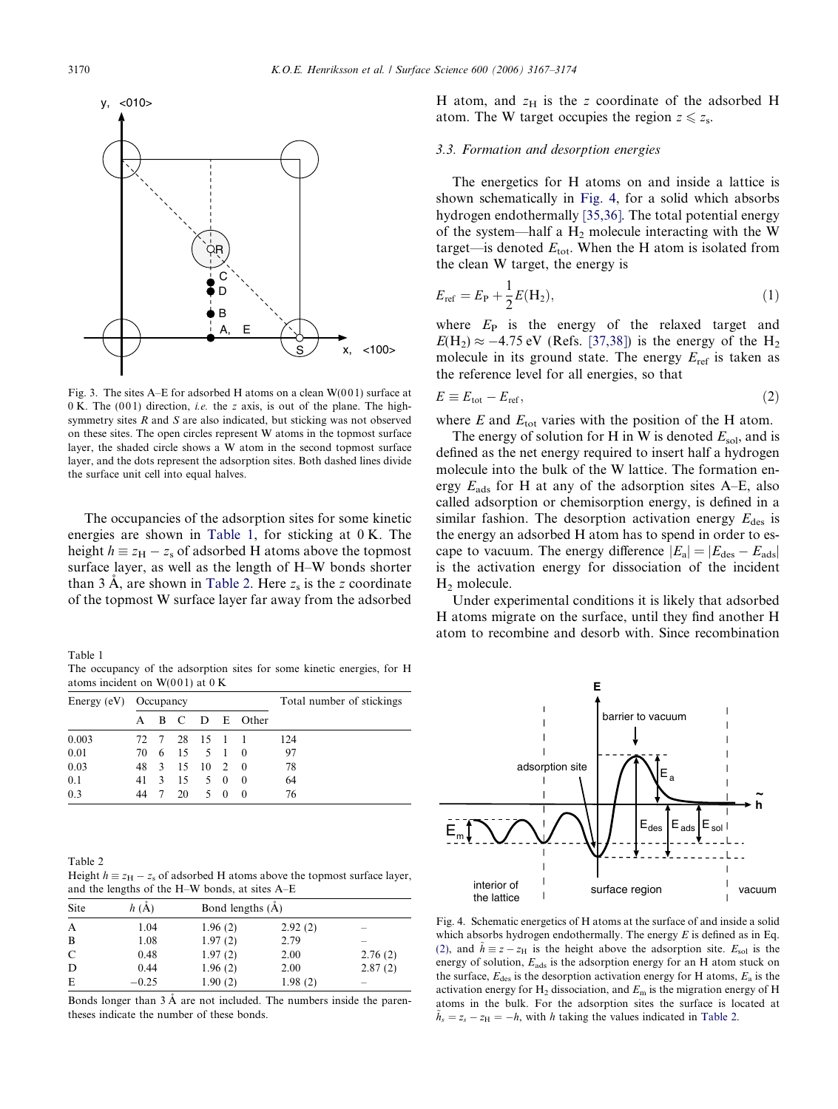<span id="page-3-0"></span>

Fig. 3. The sites A–E for adsorbed H atoms on a clean  $W(001)$  surface at 0 K. The  $(001)$  direction, *i.e.* the z axis, is out of the plane. The highsymmetry sites R and S are also indicated, but sticking was not observed on these sites. The open circles represent W atoms in the topmost surface layer, the shaded circle shows a W atom in the second topmost surface layer, and the dots represent the adsorption sites. Both dashed lines divide the surface unit cell into equal halves.

The occupancies of the adsorption sites for some kinetic energies are shown in Table 1, for sticking at 0 K. The height  $h \equiv z_H - z_s$  of adsorbed H atoms above the topmost surface layer, as well as the length of H–W bonds shorter than 3 A, are shown in Table 2. Here  $z_s$  is the z coordinate of the topmost W surface layer far away from the adsorbed

Table 1

The occupancy of the adsorption sites for some kinetic energies, for H atoms incident on  $W(001)$  at 0 K

| Energy (eV) Occupancy |      |  |                |  |     |                | Total number of stickings |  |
|-----------------------|------|--|----------------|--|-----|----------------|---------------------------|--|
|                       | A    |  |                |  |     | B C D E Other  |                           |  |
| 0.003                 |      |  | 72 7 28 15 1 1 |  |     |                | 124                       |  |
| 0.01                  | 70 6 |  | 15 5 1 0       |  |     |                | 97                        |  |
| 0.03                  |      |  | 48 3 15 10 2 0 |  |     |                | 78                        |  |
| 0.1                   | 41 3 |  | $15 \t 5 \t 0$ |  |     | $\overline{0}$ | 64                        |  |
| 0.3                   | 44   |  | 20             |  | 5 0 | $\theta$       | 76                        |  |

| Table 2                                                                          |
|----------------------------------------------------------------------------------|
| Height $h \equiv z_H - z_s$ of adsorbed H atoms above the topmost surface layer, |
| and the lengths of the H–W bonds, at sites A–E                                   |

| Site | h(A)    | Bond lengths (A) |         |         |
|------|---------|------------------|---------|---------|
| A    | 1.04    | 1.96(2)          | 2.92(2) | -       |
| B    | 1.08    | 1.97(2)          | 2.79    |         |
| C    | 0.48    | 1.97(2)          | 2.00    | 2.76(2) |
| D    | 0.44    | 1.96(2)          | 2.00    | 2.87(2) |
| E    | $-0.25$ | 1.90(2)          | 1.98(2) | -       |

Bonds longer than  $3 \text{ Å}$  are not included. The numbers inside the parentheses indicate the number of these bonds.

H atom, and  $z_H$  is the z coordinate of the adsorbed H atom. The W target occupies the region  $z \leq z_s$ .

## 3.3. Formation and desorption energies

The energetics for H atoms on and inside a lattice is shown schematically in Fig. 4, for a solid which absorbs hydrogen endothermally [\[35,36\].](#page-7-0) The total potential energy of the system—half a  $H_2$  molecule interacting with the W target—is denoted  $E_{\text{tot}}$ . When the H atom is isolated from the clean W target, the energy is

$$
E_{\rm ref} = E_{\rm P} + \frac{1}{2}E(H_2),
$$
\n(1)

where  $E_P$  is the energy of the relaxed target and  $E(H_2) \approx -4.75$  eV (Refs. [\[37,38\]](#page-7-0)) is the energy of the  $H_2$ molecule in its ground state. The energy  $E_{ref}$  is taken as the reference level for all energies, so that

$$
E \equiv E_{\text{tot}} - E_{\text{ref}},\tag{2}
$$

where  $E$  and  $E_{\text{tot}}$  varies with the position of the H atom.

The energy of solution for H in W is denoted  $E_{sol}$ , and is defined as the net energy required to insert half a hydrogen molecule into the bulk of the W lattice. The formation energy  $E_{ads}$  for H at any of the adsorption sites A–E, also called adsorption or chemisorption energy, is defined in a similar fashion. The desorption activation energy  $E_{\text{des}}$  is the energy an adsorbed H atom has to spend in order to escape to vacuum. The energy difference  $|E_a| = |E_{des} - E_{ads}|$ is the activation energy for dissociation of the incident  $H<sub>2</sub>$  molecule.

Under experimental conditions it is likely that adsorbed H atoms migrate on the surface, until they find another H atom to recombine and desorb with. Since recombination



Fig. 4. Schematic energetics of H atoms at the surface of and inside a solid which absorbs hydrogen endothermally. The energy  $E$  is defined as in Eq. (2), and  $\tilde{h} \equiv z - z_H$  is the height above the adsorption site.  $E_{sol}$  is the energy of solution,  $E_{ads}$  is the adsorption energy for an H atom stuck on the surface,  $E_{\text{des}}$  is the desorption activation energy for H atoms,  $E_{\text{a}}$  is the activation energy for  $H_2$  dissociation, and  $E_m$  is the migration energy of H atoms in the bulk. For the adsorption sites the surface is located at  $\tilde{h}_s = z_s - z_H = -h$ , with h taking the values indicated in Table 2.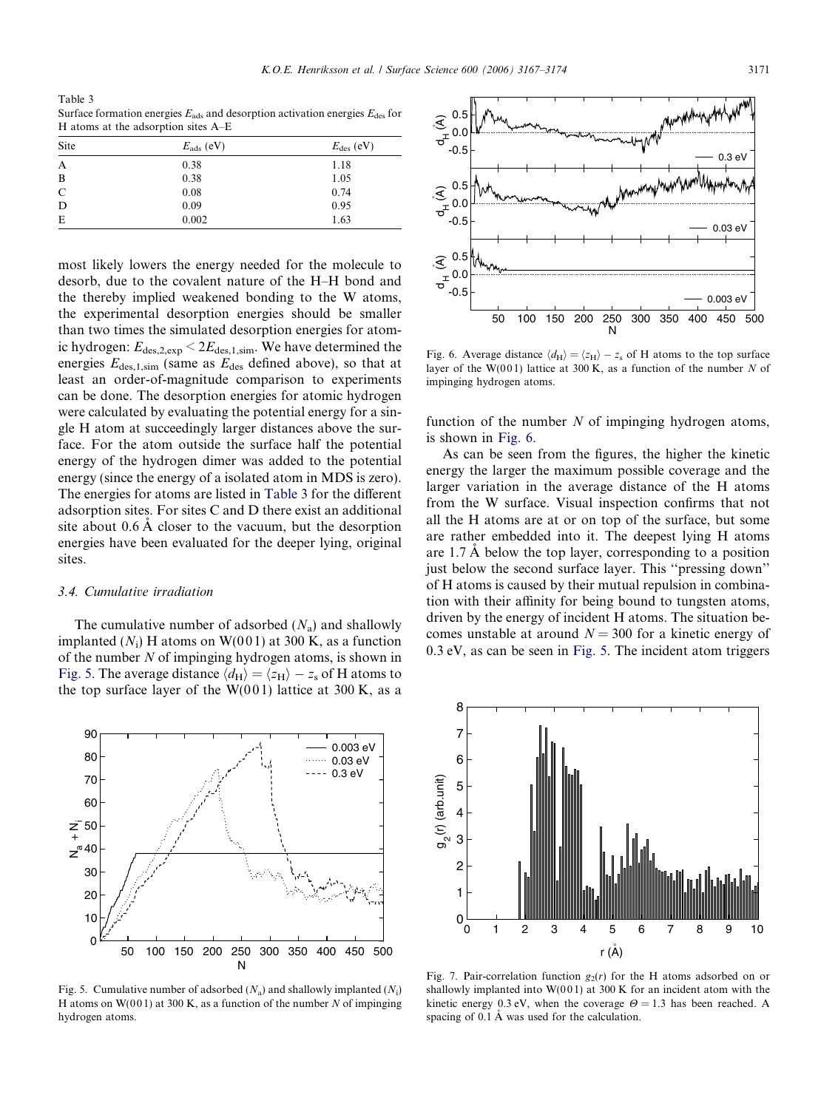<span id="page-4-0"></span>Table 3 Surface formation energies  $E_{ads}$  and desorption activation energies  $E_{des}$  for H atoms at the adsorption sites A–E

| Site | $E_{\rm ads}$ (eV) | $E_{\text{des}}$ (eV) |
|------|--------------------|-----------------------|
| A    | 0.38               | 1.18                  |
| B    | 0.38               | 1.05                  |
| C    | 0.08               | 0.74                  |
| D    | 0.09               | 0.95                  |
| E    | 0.002              | 1.63                  |

most likely lowers the energy needed for the molecule to desorb, due to the covalent nature of the H–H bond and the thereby implied weakened bonding to the W atoms, the experimental desorption energies should be smaller than two times the simulated desorption energies for atomic hydrogen:  $E_{\text{des,2,exp}} < 2E_{\text{des,1,sim}}$ . We have determined the energies  $E_{\text{des},1,\text{sim}}$  (same as  $E_{\text{des}}$  defined above), so that at least an order-of-magnitude comparison to experiments can be done. The desorption energies for atomic hydrogen were calculated by evaluating the potential energy for a single H atom at succeedingly larger distances above the surface. For the atom outside the surface half the potential energy of the hydrogen dimer was added to the potential energy (since the energy of a isolated atom in MDS is zero). The energies for atoms are listed in Table 3 for the different adsorption sites. For sites C and D there exist an additional site about  $0.6 \text{ Å}$  closer to the vacuum, but the desorption energies have been evaluated for the deeper lying, original sites.

#### 3.4. Cumulative irradiation

The cumulative number of adsorbed  $(N_a)$  and shallowly implanted  $(N_i)$  H atoms on W(001) at 300 K, as a function of the number  $N$  of impinging hydrogen atoms, is shown in Fig. 5. The average distance  $\langle d_H \rangle = \langle z_H \rangle - z_s$  of H atoms to the top surface layer of the  $W(001)$  lattice at 300 K, as a



50 100 150 200 250 300 350 400 450 500 N  $\Omega$ 10

Fig. 5. Cumulative number of adsorbed  $(N_a)$  and shallowly implanted  $(N_i)$ H atoms on  $W(001)$  at 300 K, as a function of the number N of impinging hydrogen atoms.



Fig. 6. Average distance  $\langle d_H \rangle = \langle z_H \rangle - z_s$  of H atoms to the top surface layer of the W(001) lattice at 300 K, as a function of the number N of impinging hydrogen atoms.

function of the number  $N$  of impinging hydrogen atoms, is shown in Fig. 6.

As can be seen from the figures, the higher the kinetic energy the larger the maximum possible coverage and the larger variation in the average distance of the H atoms from the W surface. Visual inspection confirms that not all the H atoms are at or on top of the surface, but some are rather embedded into it. The deepest lying H atoms are  $1.7 \text{ A}$  below the top layer, corresponding to a position just below the second surface layer. This ''pressing down'' of H atoms is caused by their mutual repulsion in combination with their affinity for being bound to tungsten atoms, driven by the energy of incident H atoms. The situation becomes unstable at around  $N = 300$  for a kinetic energy of 0.3 eV, as can be seen in Fig. 5. The incident atom triggers



Fig. 7. Pair-correlation function  $g_2(r)$  for the H atoms adsorbed on or shallowly implanted into  $W(001)$  at 300 K for an incident atom with the kinetic energy 0.3 eV, when the coverage  $\Theta = 1.3$  has been reached. A spacing of  $0.1 \text{ Å}$  was used for the calculation.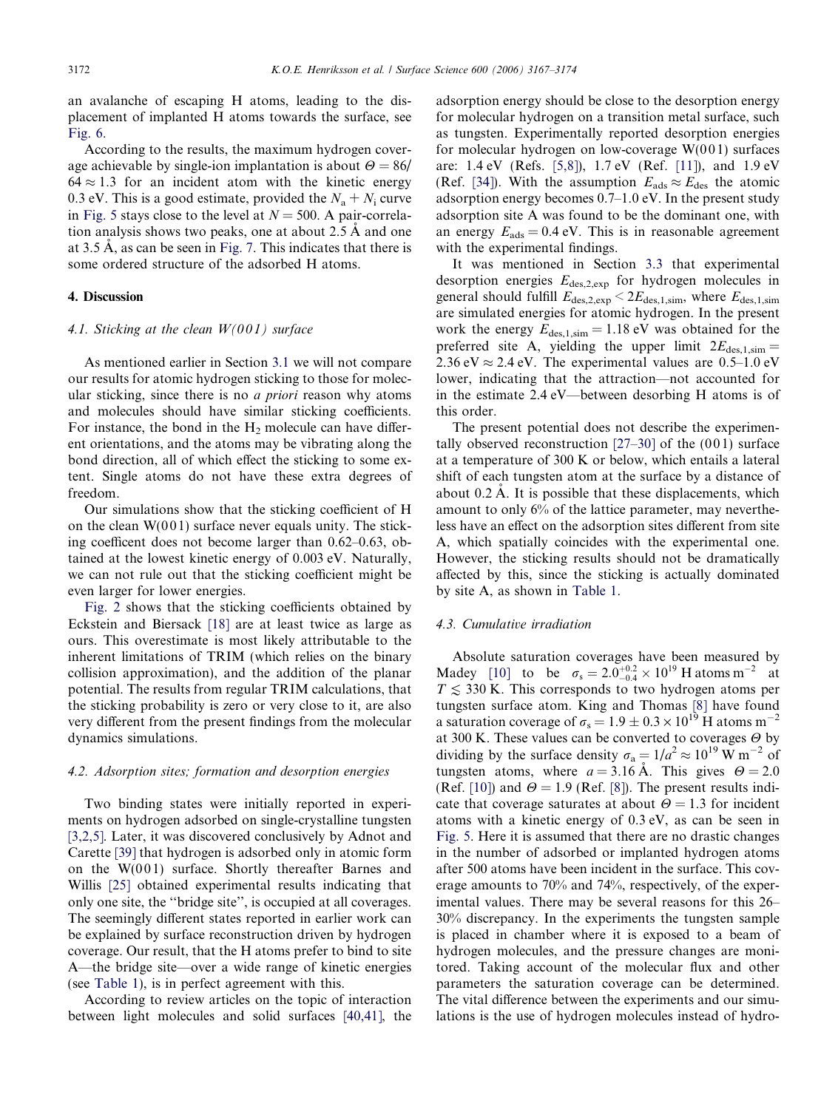an avalanche of escaping H atoms, leading to the displacement of implanted H atoms towards the surface, see [Fig. 6](#page-4-0).

According to the results, the maximum hydrogen coverage achievable by single-ion implantation is about  $\Theta = 86/$  $64 \approx 1.3$  for an incident atom with the kinetic energy 0.3 eV. This is a good estimate, provided the  $N_a + N_i$  curve in [Fig. 5](#page-4-0) stays close to the level at  $N = 500$ . A pair-correlation analysis shows two peaks, one at about  $2.5 \text{ Å}$  and one at 3.5  $\AA$ , as can be seen in [Fig. 7.](#page-4-0) This indicates that there is some ordered structure of the adsorbed H atoms.

# 4. Discussion

# 4.1. Sticking at the clean  $W(001)$  surface

As mentioned earlier in Section [3.1](#page-2-0) we will not compare our results for atomic hydrogen sticking to those for molecular sticking, since there is no *a priori* reason why atoms and molecules should have similar sticking coefficients. For instance, the bond in the  $H_2$  molecule can have different orientations, and the atoms may be vibrating along the bond direction, all of which effect the sticking to some extent. Single atoms do not have these extra degrees of freedom.

Our simulations show that the sticking coefficient of H on the clean  $W(001)$  surface never equals unity. The sticking coefficent does not become larger than 0.62–0.63, obtained at the lowest kinetic energy of 0.003 eV. Naturally, we can not rule out that the sticking coefficient might be even larger for lower energies.

[Fig. 2](#page-2-0) shows that the sticking coefficients obtained by Eckstein and Biersack [\[18\]](#page-6-0) are at least twice as large as ours. This overestimate is most likely attributable to the inherent limitations of TRIM (which relies on the binary collision approximation), and the addition of the planar potential. The results from regular TRIM calculations, that the sticking probability is zero or very close to it, are also very different from the present findings from the molecular dynamics simulations.

## 4.2. Adsorption sites; formation and desorption energies

Two binding states were initially reported in experiments on hydrogen adsorbed on single-crystalline tungsten [\[3,2,5\].](#page-6-0) Later, it was discovered conclusively by Adnot and Carette [\[39\]](#page-7-0) that hydrogen is adsorbed only in atomic form on the  $W(001)$  surface. Shortly thereafter Barnes and Willis [\[25\]](#page-6-0) obtained experimental results indicating that only one site, the ''bridge site'', is occupied at all coverages. The seemingly different states reported in earlier work can be explained by surface reconstruction driven by hydrogen coverage. Our result, that the H atoms prefer to bind to site A—the bridge site—over a wide range of kinetic energies (see [Table 1](#page-3-0)), is in perfect agreement with this.

According to review articles on the topic of interaction between light molecules and solid surfaces [\[40,41\],](#page-7-0) the

adsorption energy should be close to the desorption energy for molecular hydrogen on a transition metal surface, such as tungsten. Experimentally reported desorption energies for molecular hydrogen on low-coverage  $W(001)$  surfaces are: 1.4 eV (Refs. [\[5,8\]](#page-6-0)), 1.7 eV (Ref. [\[11\]](#page-6-0)), and 1.9 eV (Ref. [\[34\]\)](#page-7-0). With the assumption  $E_{ads} \approx E_{des}$  the atomic adsorption energy becomes 0.7–1.0 eV. In the present study adsorption site A was found to be the dominant one, with an energy  $E_{ads} = 0.4$  eV. This is in reasonable agreement with the experimental findings.

It was mentioned in Section [3.3](#page-3-0) that experimental desorption energies  $E_{\text{des,2,exp}}$  for hydrogen molecules in general should fulfill  $E_{\rm des,2,exp} < 2 E_{\rm des,1,sim}$ , where  $E_{\rm des,1,sim}$ are simulated energies for atomic hydrogen. In the present work the energy  $E_{\text{des,1,sim}} = 1.18 \text{ eV}$  was obtained for the preferred site A, yielding the upper limit  $2E_{\text{des,1,sim}} =$ 2.36 eV  $\approx$  2.4 eV. The experimental values are 0.5–1.0 eV lower, indicating that the attraction—not accounted for in the estimate 2.4 eV—between desorbing H atoms is of this order.

The present potential does not describe the experimentally observed reconstruction  $[27-30]$  of the  $(001)$  surface at a temperature of 300 K or below, which entails a lateral shift of each tungsten atom at the surface by a distance of about  $0.2 \text{ Å}$ . It is possible that these displacements, which amount to only 6% of the lattice parameter, may nevertheless have an effect on the adsorption sites different from site A, which spatially coincides with the experimental one. However, the sticking results should not be dramatically affected by this, since the sticking is actually dominated by site A, as shown in [Table 1.](#page-3-0)

# 4.3. Cumulative irradiation

Absolute saturation coverages have been measured by Madey [\[10\]](#page-6-0) to be  $\sigma_s = 2.0^{+0.2}_{-0.4} \times 10^{19}$  H atoms m<sup>-2</sup> at  $T \lesssim 330$  K. This corresponds to two hydrogen atoms per tungsten surface atom. King and Thomas [\[8\]](#page-6-0) have found a saturation coverage of  $\sigma_s = 1.9 \pm 0.3 \times 10^{19}$  H atoms m<sup>-2</sup> at 300 K. These values can be converted to coverages  $\Theta$  by dividing by the surface density  $\sigma_a = 1/a^2 \approx 10^{19} \text{ W m}^{-2}$  of tungsten atoms, where  $a = 3.16$  Å. This gives  $\Theta = 2.0$ (Ref. [\[10\]\)](#page-6-0) and  $\Theta = 1.9$  (Ref. [\[8\]](#page-6-0)). The present results indicate that coverage saturates at about  $\Theta = 1.3$  for incident atoms with a kinetic energy of 0.3 eV, as can be seen in [Fig. 5.](#page-4-0) Here it is assumed that there are no drastic changes in the number of adsorbed or implanted hydrogen atoms after 500 atoms have been incident in the surface. This coverage amounts to 70% and 74%, respectively, of the experimental values. There may be several reasons for this 26– 30% discrepancy. In the experiments the tungsten sample is placed in chamber where it is exposed to a beam of hydrogen molecules, and the pressure changes are monitored. Taking account of the molecular flux and other parameters the saturation coverage can be determined. The vital difference between the experiments and our simulations is the use of hydrogen molecules instead of hydro-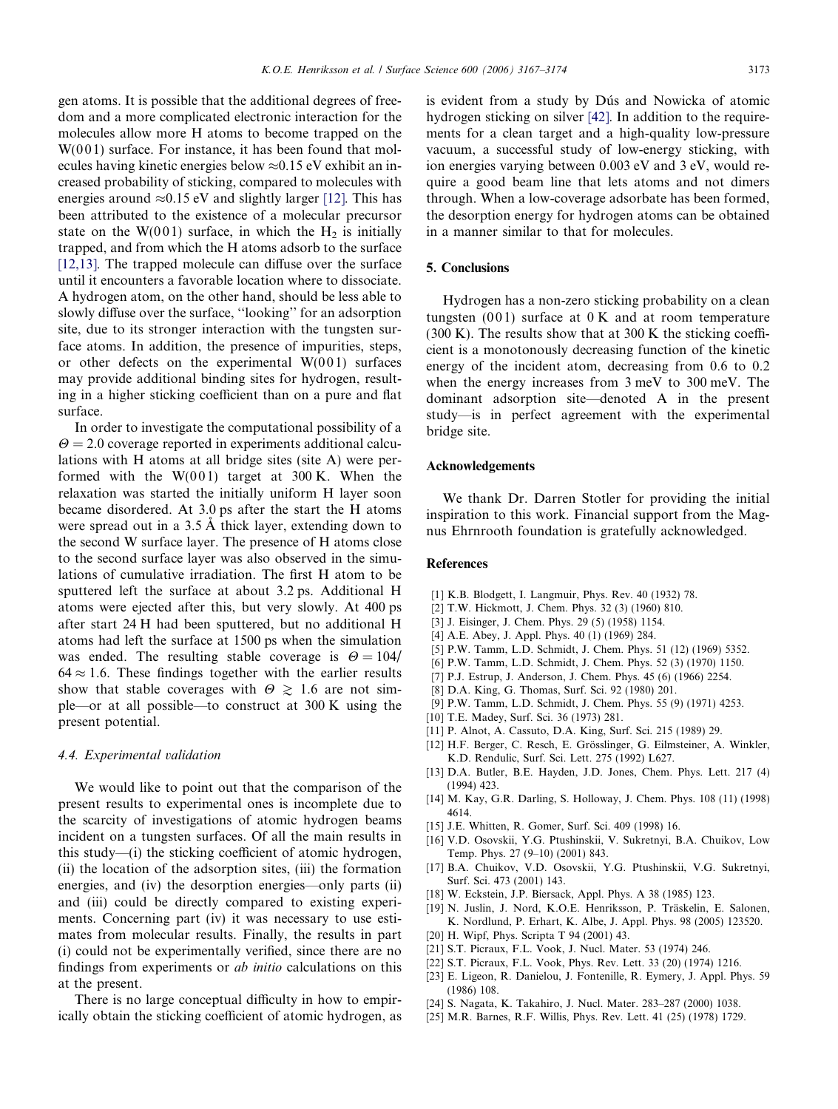<span id="page-6-0"></span>gen atoms. It is possible that the additional degrees of freedom and a more complicated electronic interaction for the molecules allow more H atoms to become trapped on the  $W(001)$  surface. For instance, it has been found that molecules having kinetic energies below  $\approx 0.15$  eV exhibit an increased probability of sticking, compared to molecules with energies around  $\approx 0.15$  eV and slightly larger [12]. This has been attributed to the existence of a molecular precursor state on the W(001) surface, in which the  $H_2$  is initially trapped, and from which the H atoms adsorb to the surface [12,13]. The trapped molecule can diffuse over the surface until it encounters a favorable location where to dissociate. A hydrogen atom, on the other hand, should be less able to slowly diffuse over the surface, ''looking'' for an adsorption site, due to its stronger interaction with the tungsten surface atoms. In addition, the presence of impurities, steps, or other defects on the experimental  $W(001)$  surfaces may provide additional binding sites for hydrogen, resulting in a higher sticking coefficient than on a pure and flat surface.

In order to investigate the computational possibility of a  $\theta$  = 2.0 coverage reported in experiments additional calculations with H atoms at all bridge sites (site A) were performed with the  $W(001)$  target at 300 K. When the relaxation was started the initially uniform H layer soon became disordered. At 3.0 ps after the start the H atoms were spread out in a 3.5 Å thick layer, extending down to the second W surface layer. The presence of H atoms close to the second surface layer was also observed in the simulations of cumulative irradiation. The first H atom to be sputtered left the surface at about 3.2 ps. Additional H atoms were ejected after this, but very slowly. At 400 ps after start 24 H had been sputtered, but no additional H atoms had left the surface at 1500 ps when the simulation was ended. The resulting stable coverage is  $\Theta = 104/$  $64 \approx 1.6$ . These findings together with the earlier results show that stable coverages with  $\Theta \geq 1.6$  are not simple—or at all possible—to construct at 300 K using the present potential.

# 4.4. Experimental validation

We would like to point out that the comparison of the present results to experimental ones is incomplete due to the scarcity of investigations of atomic hydrogen beams incident on a tungsten surfaces. Of all the main results in this study—(i) the sticking coefficient of atomic hydrogen, (ii) the location of the adsorption sites, (iii) the formation energies, and (iv) the desorption energies—only parts (ii) and (iii) could be directly compared to existing experiments. Concerning part (iv) it was necessary to use estimates from molecular results. Finally, the results in part (i) could not be experimentally verified, since there are no findings from experiments or ab initio calculations on this at the present.

There is no large conceptual difficulty in how to empirically obtain the sticking coefficient of atomic hydrogen, as is evident from a study by Dús and Nowicka of atomic hydrogen sticking on silver [\[42\].](#page-7-0) In addition to the requirements for a clean target and a high-quality low-pressure vacuum, a successful study of low-energy sticking, with ion energies varying between 0.003 eV and 3 eV, would require a good beam line that lets atoms and not dimers through. When a low-coverage adsorbate has been formed, the desorption energy for hydrogen atoms can be obtained in a manner similar to that for molecules.

## 5. Conclusions

Hydrogen has a non-zero sticking probability on a clean tungsten  $(001)$  surface at  $0K$  and at room temperature (300 K). The results show that at 300 K the sticking coefficient is a monotonously decreasing function of the kinetic energy of the incident atom, decreasing from 0.6 to 0.2 when the energy increases from 3 meV to 300 meV. The dominant adsorption site—denoted A in the present study—is in perfect agreement with the experimental bridge site.

# Acknowledgements

We thank Dr. Darren Stotler for providing the initial inspiration to this work. Financial support from the Magnus Ehrnrooth foundation is gratefully acknowledged.

## References

- [1] K.B. Blodgett, I. Langmuir, Phys. Rev. 40 (1932) 78.
- [2] T.W. Hickmott, J. Chem. Phys. 32 (3) (1960) 810.
- [3] J. Eisinger, J. Chem. Phys. 29 (5) (1958) 1154.
- [4] A.E. Abey, J. Appl. Phys. 40 (1) (1969) 284.
- [5] P.W. Tamm, L.D. Schmidt, J. Chem. Phys. 51 (12) (1969) 5352.
- [6] P.W. Tamm, L.D. Schmidt, J. Chem. Phys. 52 (3) (1970) 1150.
- [7] P.J. Estrup, J. Anderson, J. Chem. Phys. 45 (6) (1966) 2254.
- [8] D.A. King, G. Thomas, Surf. Sci. 92 (1980) 201.
- [9] P.W. Tamm, L.D. Schmidt, J. Chem. Phys. 55 (9) (1971) 4253.
- [10] T.E. Madey, Surf. Sci. 36 (1973) 281.
- [11] P. Alnot, A. Cassuto, D.A. King, Surf. Sci. 215 (1989) 29.
- [12] H.F. Berger, C. Resch, E. Grösslinger, G. Eilmsteiner, A. Winkler, K.D. Rendulic, Surf. Sci. Lett. 275 (1992) L627.
- [13] D.A. Butler, B.E. Hayden, J.D. Jones, Chem. Phys. Lett. 217 (4) (1994) 423.
- [14] M. Kay, G.R. Darling, S. Holloway, J. Chem. Phys. 108 (11) (1998) 4614.
- [15] J.E. Whitten, R. Gomer, Surf. Sci. 409 (1998) 16.
- [16] V.D. Osovskii, Y.G. Ptushinskii, V. Sukretnyi, B.A. Chuikov, Low Temp. Phys. 27 (9–10) (2001) 843.
- [17] B.A. Chuikov, V.D. Osovskii, Y.G. Ptushinskii, V.G. Sukretnyi, Surf. Sci. 473 (2001) 143.
- [18] W. Eckstein, J.P. Biersack, Appl. Phys. A 38 (1985) 123.
- [19] N. Juslin, J. Nord, K.O.E. Henriksson, P. Träskelin, E. Salonen, K. Nordlund, P. Erhart, K. Albe, J. Appl. Phys. 98 (2005) 123520.
- [20] H. Wipf, Phys. Scripta T 94 (2001) 43.
- [21] S.T. Picraux, F.L. Vook, J. Nucl. Mater. 53 (1974) 246.
- [22] S.T. Picraux, F.L. Vook, Phys. Rev. Lett. 33 (20) (1974) 1216.
- [23] E. Ligeon, R. Danielou, J. Fontenille, R. Eymery, J. Appl. Phys. 59 (1986) 108.
- [24] S. Nagata, K. Takahiro, J. Nucl. Mater. 283–287 (2000) 1038.
- [25] M.R. Barnes, R.F. Willis, Phys. Rev. Lett. 41 (25) (1978) 1729.